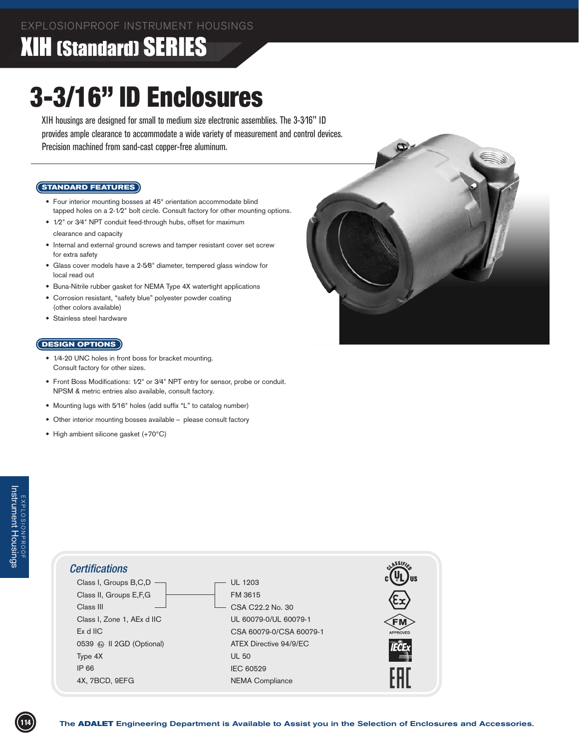### XIH (Standard) SERIES

# 3-3/16" ID Enclosures

XIH housings are designed for small to medium size electronic assemblies. The 3-3⁄16" ID provides ample clearance to accommodate a wide variety of measurement and control devices. Precision machined from sand-cast copper-free aluminum.

#### **STANDARD FEATURES**

- Four interior mounting bosses at 45° orientation accommodate blind tapped holes on a 2-1⁄2" bolt circle. Consult factory for other mounting options.
- $1/2$ " or 3/4" NPT conduit feed-through hubs, offset for maximum clearance and capacity
- Internal and external ground screws and tamper resistant cover set screw for extra safety
- Glass cover models have a 2-5⁄8" diameter, tempered glass window for local read out
- Buna-Nitrile rubber gasket for NEMA Type 4X watertight applications
- Corrosion resistant, "safety blue" polyester powder coating (other colors available)
- Stainless steel hardware

#### **DESIGN OPTIONS**

- 1/4-20 UNC holes in front boss for bracket mounting. Consult factory for other sizes.
- Front Boss Modifications: 1⁄2" or 3⁄4" NPT entry for sensor, probe or conduit. NPSM & metric entries also available, consult factory.
- Mounting lugs with 5/16" holes (add suffix "L" to catalog number)
- Other interior mounting bosses available please consult factory
- High ambient silicone gasket (+70°C)